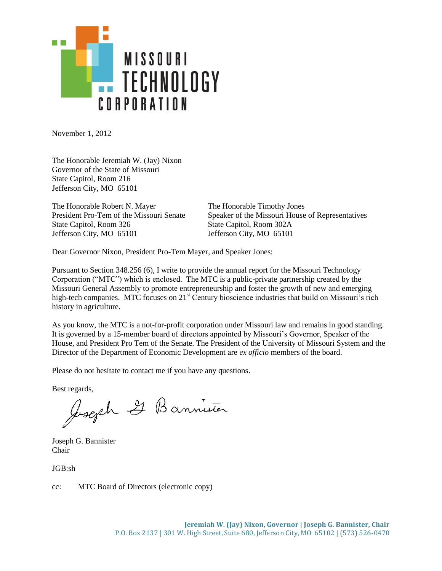

November 1, 2012

The Honorable Jeremiah W. (Jay) Nixon Governor of the State of Missouri State Capitol, Room 216 Jefferson City, MO 65101

The Honorable Robert N. Mayer The Honorable Timothy Jones State Capitol, Room 326 State Capitol, Room 302A Jefferson City, MO 65101 Jefferson City, MO 65101

President Pro-Tem of the Missouri Senate Speaker of the Missouri House of Representatives

Dear Governor Nixon, President Pro-Tem Mayer, and Speaker Jones:

Pursuant to Section 348.256 (6), I write to provide the annual report for the Missouri Technology Corporation ("MTC") which is enclosed. The MTC is a public-private partnership created by the Missouri General Assembly to promote entrepreneurship and foster the growth of new and emerging high-tech companies. MTC focuses on 21<sup>st</sup> Century bioscience industries that build on Missouri's rich history in agriculture.

As you know, the MTC is a not-for-profit corporation under Missouri law and remains in good standing. It is governed by a 15-member board of directors appointed by Missouri's Governor, Speaker of the House, and President Pro Tem of the Senate. The President of the University of Missouri System and the Director of the Department of Economic Development are *ex officio* members of the board.

Please do not hesitate to contact me if you have any questions.

Best regards,<br>Joseph I Bannister

Joseph G. Bannister Chair

JGB:sh

cc: MTC Board of Directors (electronic copy)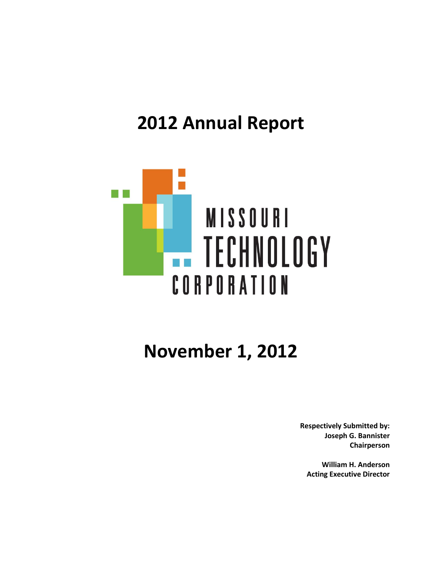# **2012 Annual Report**



# **November 1, 2012**

**Respectively Submitted by: Joseph G. Bannister Chairperson**

**William H. Anderson Acting Executive Director**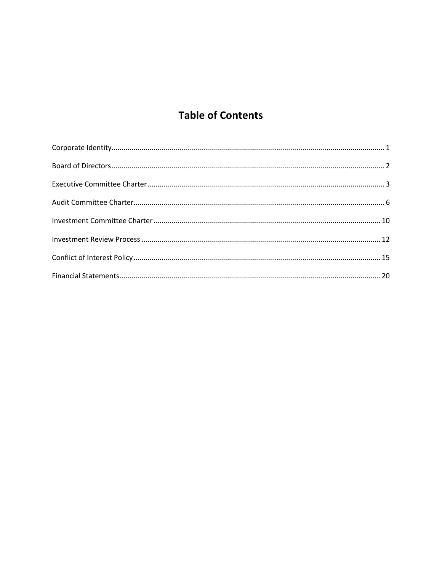## **Table of Contents**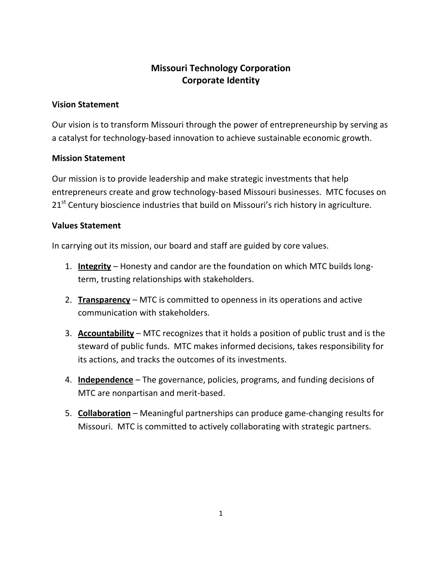## **Missouri Technology Corporation Corporate Identity**

## **Vision Statement**

Our vision is to transform Missouri through the power of entrepreneurship by serving as a catalyst for technology-based innovation to achieve sustainable economic growth.

## **Mission Statement**

Our mission is to provide leadership and make strategic investments that help entrepreneurs create and grow technology-based Missouri businesses. MTC focuses on 21<sup>st</sup> Century bioscience industries that build on Missouri's rich history in agriculture.

## **Values Statement**

In carrying out its mission, our board and staff are guided by core values.

- 1. **Integrity** Honesty and candor are the foundation on which MTC builds longterm, trusting relationships with stakeholders.
- 2. **Transparency** MTC is committed to openness in its operations and active communication with stakeholders.
- 3. **Accountability** MTC recognizes that it holds a position of public trust and is the steward of public funds. MTC makes informed decisions, takes responsibility for its actions, and tracks the outcomes of its investments.
- 4. **Independence** The governance, policies, programs, and funding decisions of MTC are nonpartisan and merit-based.
- 5. **Collaboration** Meaningful partnerships can produce game-changing results for Missouri. MTC is committed to actively collaborating with strategic partners.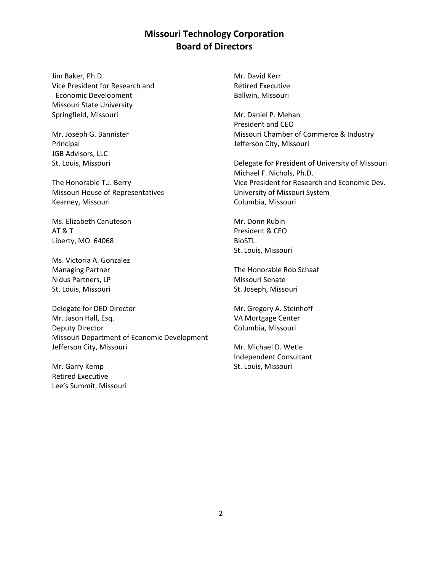## **Missouri Technology Corporation Board of Directors**

Jim Baker, Ph.D. Vice President for Research and Economic Development Missouri State University Springfield, Missouri

Mr. Joseph G. Bannister Principal JGB Advisors, LLC St. Louis, Missouri

The Honorable T.J. Berry Missouri House of Representatives Kearney, Missouri

Ms. Elizabeth Canuteson AT & T Liberty, MO 64068

Ms. Victoria A. Gonzalez Managing Partner Nidus Partners, LP St. Louis, Missouri

Delegate for DED Director Mr. Jason Hall, Esq. Deputy Director Missouri Department of Economic Development Jefferson City, Missouri

Mr. Garry Kemp Retired Executive Lee's Summit, Missouri Mr. David Kerr Retired Executive Ballwin, Missouri

Mr. Daniel P. Mehan President and CEO Missouri Chamber of Commerce & Industry Jefferson City, Missouri

Delegate for President of University of Missouri Michael F. Nichols, Ph.D. Vice President for Research and Economic Dev. University of Missouri System Columbia, Missouri

Mr. Donn Rubin President & CEO BioSTL St. Louis, Missouri

The Honorable Rob Schaaf Missouri Senate St. Joseph, Missouri

Mr. Gregory A. Steinhoff VA Mortgage Center Columbia, Missouri

Mr. Michael D. Wetle Independent Consultant St. Louis, Missouri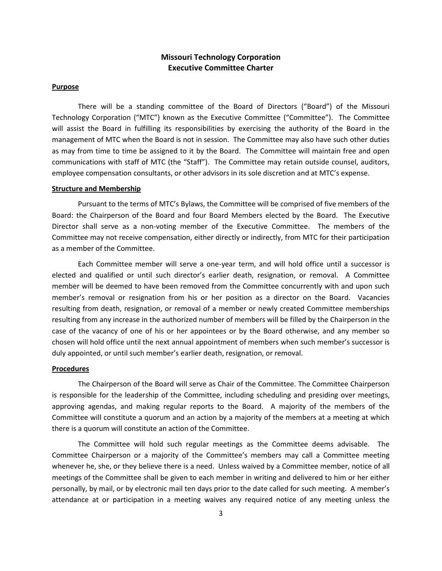## **Missouri Technology Corporation Executive Committee Charter**

#### **Purpose**

There will be a standing committee of the Board of Directors ("Board") of the Missouri Technology Corporation ("MTC") known as the Executive Committee ("Committee"). The Committee will assist the Board in fulfilling its responsibilities by exercising the authority of the Board in the management of MTC when the Board is not in session. The Committee may also have such other duties as may from time to time be assigned to it by the Board. The Committee will maintain free and open communications with staff of MTC (the "Staff"). The Committee may retain outside counsel, auditors, employee compensation consultants, or other advisors in its sole discretion and at MTC's expense.

#### **Structure and Membership**

Pursuant to the terms of MTC's Bylaws, the Committee will be comprised of five members of the Board: the Chairperson of the Board and four Board Members elected by the Board. The Executive Director shall serve as a non-voting member of the Executive Committee. The members of the Committee may not receive compensation, either directly or indirectly, from MTC for their participation as a member of the Committee.

Each Committee member will serve a one-year term, and will hold office until a successor is elected and qualified or until such director's earlier death, resignation, or removal. A Committee member will be deemed to have been removed from the Committee concurrently with and upon such member's removal or resignation from his or her position as a director on the Board. Vacancies resulting from death, resignation, or removal of a member or newly created Committee memberships resulting from any increase in the authorized number of members will be filled by the Chairperson in the case of the vacancy of one of his or her appointees or by the Board otherwise, and any member so chosen will hold office until the next annual appointment of members when such member's successor is duly appointed, or until such member's earlier death, resignation, or removal.

#### **Procedures**

The Chairperson of the Board will serve as Chair of the Committee. The Committee Chairperson is responsible for the leadership of the Committee, including scheduling and presiding over meetings, approving agendas, and making regular reports to the Board. A majority of the members of the Committee will constitute a quorum and an action by a majority of the members at a meeting at which there is a quorum will constitute an action of the Committee.

The Committee will hold such regular meetings as the Committee deems advisable. The Committee Chairperson or a majority of the Committee's members may call a Committee meeting whenever he, she, or they believe there is a need. Unless waived by a Committee member, notice of all meetings of the Committee shall be given to each member in writing and delivered to him or her either personally, by mail, or by electronic mail ten days prior to the date called for such meeting. A member's attendance at or participation in a meeting waives any required notice of any meeting unless the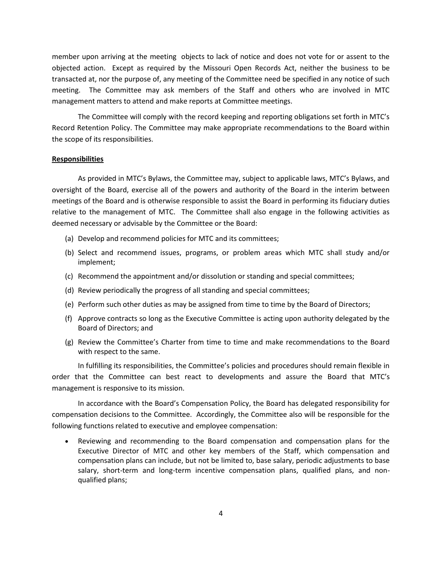member upon arriving at the meeting objects to lack of notice and does not vote for or assent to the objected action. Except as required by the Missouri Open Records Act, neither the business to be transacted at, nor the purpose of, any meeting of the Committee need be specified in any notice of such meeting. The Committee may ask members of the Staff and others who are involved in MTC management matters to attend and make reports at Committee meetings.

The Committee will comply with the record keeping and reporting obligations set forth in MTC's Record Retention Policy. The Committee may make appropriate recommendations to the Board within the scope of its responsibilities.

#### **Responsibilities**

As provided in MTC's Bylaws, the Committee may, subject to applicable laws, MTC's Bylaws, and oversight of the Board, exercise all of the powers and authority of the Board in the interim between meetings of the Board and is otherwise responsible to assist the Board in performing its fiduciary duties relative to the management of MTC. The Committee shall also engage in the following activities as deemed necessary or advisable by the Committee or the Board:

- (a) Develop and recommend policies for MTC and its committees;
- (b) Select and recommend issues, programs, or problem areas which MTC shall study and/or implement;
- (c) Recommend the appointment and/or dissolution or standing and special committees;
- (d) Review periodically the progress of all standing and special committees;
- (e) Perform such other duties as may be assigned from time to time by the Board of Directors;
- (f) Approve contracts so long as the Executive Committee is acting upon authority delegated by the Board of Directors; and
- (g) Review the Committee's Charter from time to time and make recommendations to the Board with respect to the same.

In fulfilling its responsibilities, the Committee's policies and procedures should remain flexible in order that the Committee can best react to developments and assure the Board that MTC's management is responsive to its mission.

In accordance with the Board's Compensation Policy, the Board has delegated responsibility for compensation decisions to the Committee. Accordingly, the Committee also will be responsible for the following functions related to executive and employee compensation:

 Reviewing and recommending to the Board compensation and compensation plans for the Executive Director of MTC and other key members of the Staff, which compensation and compensation plans can include, but not be limited to, base salary, periodic adjustments to base salary, short-term and long-term incentive compensation plans, qualified plans, and nonqualified plans;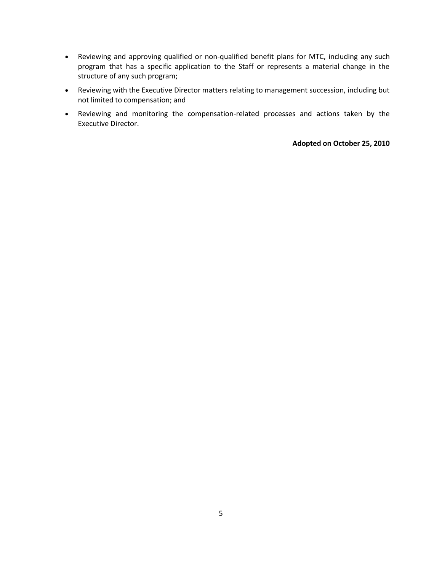- Reviewing and approving qualified or non-qualified benefit plans for MTC, including any such program that has a specific application to the Staff or represents a material change in the structure of any such program;
- Reviewing with the Executive Director matters relating to management succession, including but not limited to compensation; and
- Reviewing and monitoring the compensation-related processes and actions taken by the Executive Director.

**Adopted on October 25, 2010**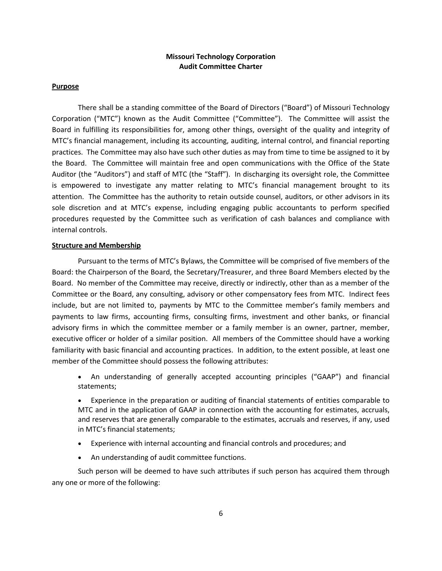#### **Missouri Technology Corporation Audit Committee Charter**

#### **Purpose**

There shall be a standing committee of the Board of Directors ("Board") of Missouri Technology Corporation ("MTC") known as the Audit Committee ("Committee"). The Committee will assist the Board in fulfilling its responsibilities for, among other things, oversight of the quality and integrity of MTC's financial management, including its accounting, auditing, internal control, and financial reporting practices. The Committee may also have such other duties as may from time to time be assigned to it by the Board. The Committee will maintain free and open communications with the Office of the State Auditor (the "Auditors") and staff of MTC (the "Staff"). In discharging its oversight role, the Committee is empowered to investigate any matter relating to MTC's financial management brought to its attention. The Committee has the authority to retain outside counsel, auditors, or other advisors in its sole discretion and at MTC's expense, including engaging public accountants to perform specified procedures requested by the Committee such as verification of cash balances and compliance with internal controls.

#### **Structure and Membership**

Pursuant to the terms of MTC's Bylaws, the Committee will be comprised of five members of the Board: the Chairperson of the Board, the Secretary/Treasurer, and three Board Members elected by the Board. No member of the Committee may receive, directly or indirectly, other than as a member of the Committee or the Board, any consulting, advisory or other compensatory fees from MTC. Indirect fees include, but are not limited to, payments by MTC to the Committee member's family members and payments to law firms, accounting firms, consulting firms, investment and other banks, or financial advisory firms in which the committee member or a family member is an owner, partner, member, executive officer or holder of a similar position. All members of the Committee should have a working familiarity with basic financial and accounting practices. In addition, to the extent possible, at least one member of the Committee should possess the following attributes:

 An understanding of generally accepted accounting principles ("GAAP") and financial statements;

 Experience in the preparation or auditing of financial statements of entities comparable to MTC and in the application of GAAP in connection with the accounting for estimates, accruals, and reserves that are generally comparable to the estimates, accruals and reserves, if any, used in MTC's financial statements;

- Experience with internal accounting and financial controls and procedures; and
- An understanding of audit committee functions.

Such person will be deemed to have such attributes if such person has acquired them through any one or more of the following: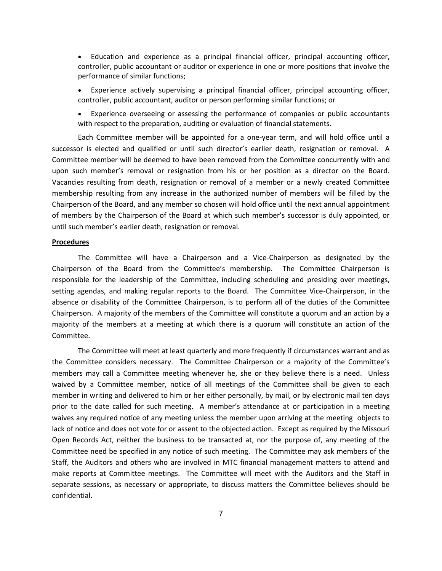- Education and experience as a principal financial officer, principal accounting officer, controller, public accountant or auditor or experience in one or more positions that involve the performance of similar functions;
- Experience actively supervising a principal financial officer, principal accounting officer, controller, public accountant, auditor or person performing similar functions; or
- Experience overseeing or assessing the performance of companies or public accountants with respect to the preparation, auditing or evaluation of financial statements.

Each Committee member will be appointed for a one-year term, and will hold office until a successor is elected and qualified or until such director's earlier death, resignation or removal. A Committee member will be deemed to have been removed from the Committee concurrently with and upon such member's removal or resignation from his or her position as a director on the Board. Vacancies resulting from death, resignation or removal of a member or a newly created Committee membership resulting from any increase in the authorized number of members will be filled by the Chairperson of the Board, and any member so chosen will hold office until the next annual appointment of members by the Chairperson of the Board at which such member's successor is duly appointed, or until such member's earlier death, resignation or removal.

#### **Procedures**

The Committee will have a Chairperson and a Vice-Chairperson as designated by the Chairperson of the Board from the Committee's membership. The Committee Chairperson is responsible for the leadership of the Committee, including scheduling and presiding over meetings, setting agendas, and making regular reports to the Board. The Committee Vice-Chairperson, in the absence or disability of the Committee Chairperson, is to perform all of the duties of the Committee Chairperson. A majority of the members of the Committee will constitute a quorum and an action by a majority of the members at a meeting at which there is a quorum will constitute an action of the Committee.

The Committee will meet at least quarterly and more frequently if circumstances warrant and as the Committee considers necessary. The Committee Chairperson or a majority of the Committee's members may call a Committee meeting whenever he, she or they believe there is a need. Unless waived by a Committee member, notice of all meetings of the Committee shall be given to each member in writing and delivered to him or her either personally, by mail, or by electronic mail ten days prior to the date called for such meeting. A member's attendance at or participation in a meeting waives any required notice of any meeting unless the member upon arriving at the meeting objects to lack of notice and does not vote for or assent to the objected action. Except as required by the Missouri Open Records Act, neither the business to be transacted at, nor the purpose of, any meeting of the Committee need be specified in any notice of such meeting. The Committee may ask members of the Staff, the Auditors and others who are involved in MTC financial management matters to attend and make reports at Committee meetings. The Committee will meet with the Auditors and the Staff in separate sessions, as necessary or appropriate, to discuss matters the Committee believes should be confidential.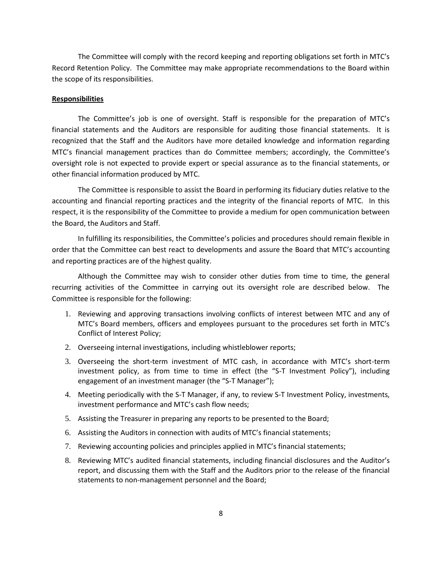The Committee will comply with the record keeping and reporting obligations set forth in MTC's Record Retention Policy. The Committee may make appropriate recommendations to the Board within the scope of its responsibilities.

#### **Responsibilities**

The Committee's job is one of oversight. Staff is responsible for the preparation of MTC's financial statements and the Auditors are responsible for auditing those financial statements. It is recognized that the Staff and the Auditors have more detailed knowledge and information regarding MTC's financial management practices than do Committee members; accordingly, the Committee's oversight role is not expected to provide expert or special assurance as to the financial statements, or other financial information produced by MTC.

The Committee is responsible to assist the Board in performing its fiduciary duties relative to the accounting and financial reporting practices and the integrity of the financial reports of MTC. In this respect, it is the responsibility of the Committee to provide a medium for open communication between the Board, the Auditors and Staff.

In fulfilling its responsibilities, the Committee's policies and procedures should remain flexible in order that the Committee can best react to developments and assure the Board that MTC's accounting and reporting practices are of the highest quality.

Although the Committee may wish to consider other duties from time to time, the general recurring activities of the Committee in carrying out its oversight role are described below. The Committee is responsible for the following:

- 1. Reviewing and approving transactions involving conflicts of interest between MTC and any of MTC's Board members, officers and employees pursuant to the procedures set forth in MTC's Conflict of Interest Policy;
- 2. Overseeing internal investigations, including whistleblower reports;
- 3. Overseeing the short-term investment of MTC cash, in accordance with MTC's short-term investment policy, as from time to time in effect (the "S-T Investment Policy"), including engagement of an investment manager (the "S-T Manager");
- 4. Meeting periodically with the S-T Manager, if any, to review S-T Investment Policy, investments, investment performance and MTC's cash flow needs;
- 5. Assisting the Treasurer in preparing any reports to be presented to the Board;
- 6. Assisting the Auditors in connection with audits of MTC's financial statements;
- 7. Reviewing accounting policies and principles applied in MTC's financial statements;
- 8. Reviewing MTC's audited financial statements, including financial disclosures and the Auditor's report, and discussing them with the Staff and the Auditors prior to the release of the financial statements to non-management personnel and the Board;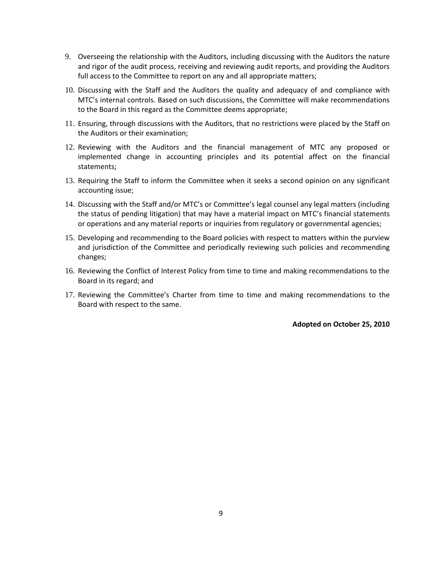- 9. Overseeing the relationship with the Auditors, including discussing with the Auditors the nature and rigor of the audit process, receiving and reviewing audit reports, and providing the Auditors full access to the Committee to report on any and all appropriate matters;
- 10. Discussing with the Staff and the Auditors the quality and adequacy of and compliance with MTC's internal controls. Based on such discussions, the Committee will make recommendations to the Board in this regard as the Committee deems appropriate;
- 11. Ensuring, through discussions with the Auditors, that no restrictions were placed by the Staff on the Auditors or their examination;
- 12. Reviewing with the Auditors and the financial management of MTC any proposed or implemented change in accounting principles and its potential affect on the financial statements;
- 13. Requiring the Staff to inform the Committee when it seeks a second opinion on any significant accounting issue;
- 14. Discussing with the Staff and/or MTC's or Committee's legal counsel any legal matters (including the status of pending litigation) that may have a material impact on MTC's financial statements or operations and any material reports or inquiries from regulatory or governmental agencies;
- 15. Developing and recommending to the Board policies with respect to matters within the purview and jurisdiction of the Committee and periodically reviewing such policies and recommending changes;
- 16. Reviewing the Conflict of Interest Policy from time to time and making recommendations to the Board in its regard; and
- 17. Reviewing the Committee's Charter from time to time and making recommendations to the Board with respect to the same.

**Adopted on October 25, 2010**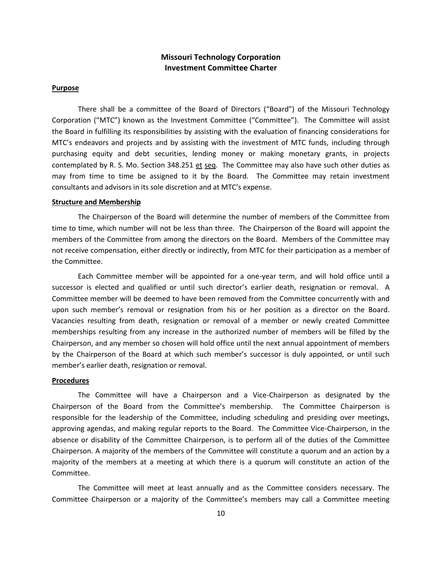## **Missouri Technology Corporation Investment Committee Charter**

#### **Purpose**

There shall be a committee of the Board of Directors ("Board") of the Missouri Technology Corporation ("MTC") known as the Investment Committee ("Committee"). The Committee will assist the Board in fulfilling its responsibilities by assisting with the evaluation of financing considerations for MTC's endeavors and projects and by assisting with the investment of MTC funds, including through purchasing equity and debt securities, lending money or making monetary grants, in projects contemplated by R. S. Mo. Section 348.251 et seq. The Committee may also have such other duties as may from time to time be assigned to it by the Board. The Committee may retain investment consultants and advisors in its sole discretion and at MTC's expense.

#### **Structure and Membership**

The Chairperson of the Board will determine the number of members of the Committee from time to time, which number will not be less than three. The Chairperson of the Board will appoint the members of the Committee from among the directors on the Board. Members of the Committee may not receive compensation, either directly or indirectly, from MTC for their participation as a member of the Committee.

Each Committee member will be appointed for a one-year term, and will hold office until a successor is elected and qualified or until such director's earlier death, resignation or removal. A Committee member will be deemed to have been removed from the Committee concurrently with and upon such member's removal or resignation from his or her position as a director on the Board. Vacancies resulting from death, resignation or removal of a member or newly created Committee memberships resulting from any increase in the authorized number of members will be filled by the Chairperson, and any member so chosen will hold office until the next annual appointment of members by the Chairperson of the Board at which such member's successor is duly appointed, or until such member's earlier death, resignation or removal.

#### **Procedures**

The Committee will have a Chairperson and a Vice-Chairperson as designated by the Chairperson of the Board from the Committee's membership. The Committee Chairperson is responsible for the leadership of the Committee, including scheduling and presiding over meetings, approving agendas, and making regular reports to the Board. The Committee Vice-Chairperson, in the absence or disability of the Committee Chairperson, is to perform all of the duties of the Committee Chairperson. A majority of the members of the Committee will constitute a quorum and an action by a majority of the members at a meeting at which there is a quorum will constitute an action of the Committee.

The Committee will meet at least annually and as the Committee considers necessary. The Committee Chairperson or a majority of the Committee's members may call a Committee meeting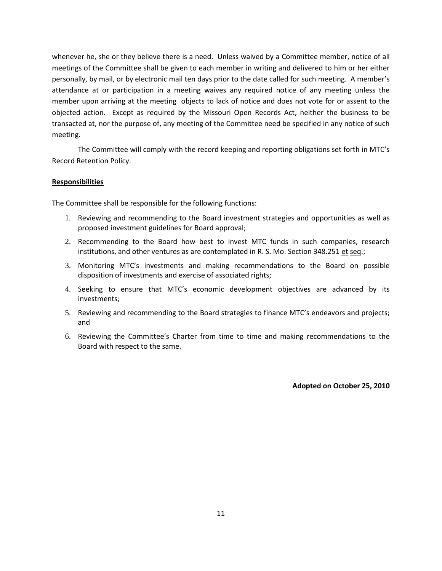whenever he, she or they believe there is a need. Unless waived by a Committee member, notice of all meetings of the Committee shall be given to each member in writing and delivered to him or her either personally, by mail, or by electronic mail ten days prior to the date called for such meeting. A member's attendance at or participation in a meeting waives any required notice of any meeting unless the member upon arriving at the meeting objects to lack of notice and does not vote for or assent to the objected action. Except as required by the Missouri Open Records Act, neither the business to be transacted at, nor the purpose of, any meeting of the Committee need be specified in any notice of such meeting.

The Committee will comply with the record keeping and reporting obligations set forth in MTC's Record Retention Policy.

#### **Responsibilities**

The Committee shall be responsible for the following functions:

- 1. Reviewing and recommending to the Board investment strategies and opportunities as well as proposed investment guidelines for Board approval;
- 2. Recommending to the Board how best to invest MTC funds in such companies, research institutions, and other ventures as are contemplated in R. S. Mo. Section 348.251 et seq.;
- 3. Monitoring MTC's investments and making recommendations to the Board on possible disposition of investments and exercise of associated rights;
- 4. Seeking to ensure that MTC's economic development objectives are advanced by its investments;
- 5. Reviewing and recommending to the Board strategies to finance MTC's endeavors and projects; and
- 6. Reviewing the Committee's Charter from time to time and making recommendations to the Board with respect to the same.

**Adopted on October 25, 2010**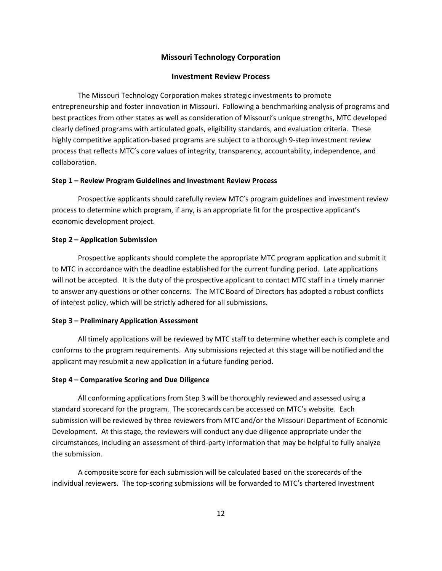#### **Missouri Technology Corporation**

#### **Investment Review Process**

The Missouri Technology Corporation makes strategic investments to promote entrepreneurship and foster innovation in Missouri. Following a benchmarking analysis of programs and best practices from other states as well as consideration of Missouri's unique strengths, MTC developed clearly defined programs with articulated goals, eligibility standards, and evaluation criteria. These highly competitive application-based programs are subject to a thorough 9-step investment review process that reflects MTC's core values of integrity, transparency, accountability, independence, and collaboration.

#### **Step 1 – Review Program Guidelines and Investment Review Process**

Prospective applicants should carefully review MTC's program guidelines and investment review process to determine which program, if any, is an appropriate fit for the prospective applicant's economic development project.

#### **Step 2 – Application Submission**

Prospective applicants should complete the appropriate MTC program application and submit it to MTC in accordance with the deadline established for the current funding period. Late applications will not be accepted. It is the duty of the prospective applicant to contact MTC staff in a timely manner to answer any questions or other concerns. The MTC Board of Directors has adopted a robust conflicts of interest policy, which will be strictly adhered for all submissions.

#### **Step 3 – Preliminary Application Assessment**

All timely applications will be reviewed by MTC staff to determine whether each is complete and conforms to the program requirements. Any submissions rejected at this stage will be notified and the applicant may resubmit a new application in a future funding period.

#### **Step 4 – Comparative Scoring and Due Diligence**

All conforming applications from Step 3 will be thoroughly reviewed and assessed using a standard scorecard for the program. The scorecards can be accessed on MTC's website. Each submission will be reviewed by three reviewers from MTC and/or the Missouri Department of Economic Development. At this stage, the reviewers will conduct any due diligence appropriate under the circumstances, including an assessment of third-party information that may be helpful to fully analyze the submission.

A composite score for each submission will be calculated based on the scorecards of the individual reviewers. The top-scoring submissions will be forwarded to MTC's chartered Investment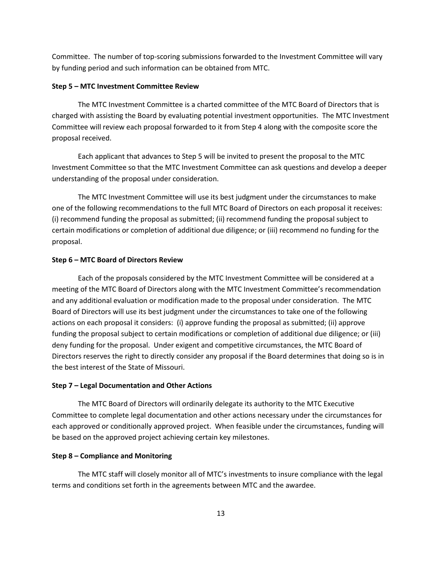Committee. The number of top-scoring submissions forwarded to the Investment Committee will vary by funding period and such information can be obtained from MTC.

#### **Step 5 – MTC Investment Committee Review**

The MTC Investment Committee is a charted committee of the MTC Board of Directors that is charged with assisting the Board by evaluating potential investment opportunities. The MTC Investment Committee will review each proposal forwarded to it from Step 4 along with the composite score the proposal received.

Each applicant that advances to Step 5 will be invited to present the proposal to the MTC Investment Committee so that the MTC Investment Committee can ask questions and develop a deeper understanding of the proposal under consideration.

The MTC Investment Committee will use its best judgment under the circumstances to make one of the following recommendations to the full MTC Board of Directors on each proposal it receives: (i) recommend funding the proposal as submitted; (ii) recommend funding the proposal subject to certain modifications or completion of additional due diligence; or (iii) recommend no funding for the proposal.

#### **Step 6 – MTC Board of Directors Review**

Each of the proposals considered by the MTC Investment Committee will be considered at a meeting of the MTC Board of Directors along with the MTC Investment Committee's recommendation and any additional evaluation or modification made to the proposal under consideration. The MTC Board of Directors will use its best judgment under the circumstances to take one of the following actions on each proposal it considers: (i) approve funding the proposal as submitted; (ii) approve funding the proposal subject to certain modifications or completion of additional due diligence; or (iii) deny funding for the proposal. Under exigent and competitive circumstances, the MTC Board of Directors reserves the right to directly consider any proposal if the Board determines that doing so is in the best interest of the State of Missouri.

#### **Step 7 – Legal Documentation and Other Actions**

The MTC Board of Directors will ordinarily delegate its authority to the MTC Executive Committee to complete legal documentation and other actions necessary under the circumstances for each approved or conditionally approved project. When feasible under the circumstances, funding will be based on the approved project achieving certain key milestones.

#### **Step 8 – Compliance and Monitoring**

The MTC staff will closely monitor all of MTC's investments to insure compliance with the legal terms and conditions set forth in the agreements between MTC and the awardee.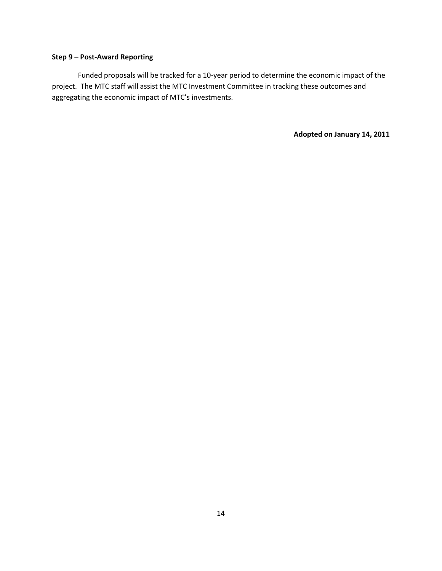#### **Step 9 – Post-Award Reporting**

Funded proposals will be tracked for a 10-year period to determine the economic impact of the project. The MTC staff will assist the MTC Investment Committee in tracking these outcomes and aggregating the economic impact of MTC's investments.

**Adopted on January 14, 2011**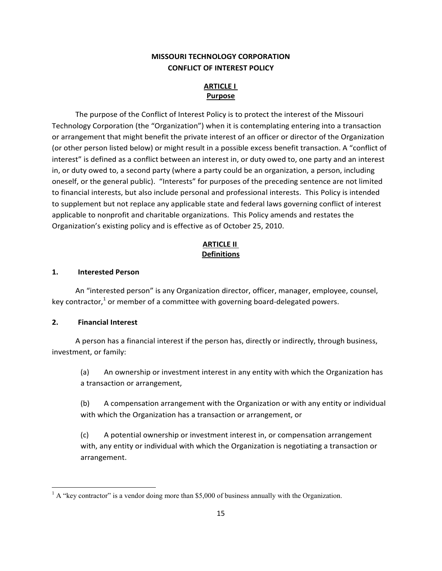## **MISSOURI TECHNOLOGY CORPORATION CONFLICT OF INTEREST POLICY**

## **ARTICLE I Purpose**

The purpose of the Conflict of Interest Policy is to protect the interest of the Missouri Technology Corporation (the "Organization") when it is contemplating entering into a transaction or arrangement that might benefit the private interest of an officer or director of the Organization (or other person listed below) or might result in a possible excess benefit transaction. A "conflict of interest" is defined as a conflict between an interest in, or duty owed to, one party and an interest in, or duty owed to, a second party (where a party could be an organization, a person, including oneself, or the general public). "Interests" for purposes of the preceding sentence are not limited to financial interests, but also include personal and professional interests. This Policy is intended to supplement but not replace any applicable state and federal laws governing conflict of interest applicable to nonprofit and charitable organizations. This Policy amends and restates the Organization's existing policy and is effective as of October 25, 2010.

## **ARTICLE II Definitions**

#### **1. Interested Person**

An "interested person" is any Organization director, officer, manager, employee, counsel, key contractor,<sup>1</sup> or member of a committee with governing board-delegated powers.

#### **2. Financial Interest**

 $\overline{\phantom{a}}$ 

A person has a financial interest if the person has, directly or indirectly, through business, investment, or family:

(a) An ownership or investment interest in any entity with which the Organization has a transaction or arrangement,

(b) A compensation arrangement with the Organization or with any entity or individual with which the Organization has a transaction or arrangement, or

(c) A potential ownership or investment interest in, or compensation arrangement with, any entity or individual with which the Organization is negotiating a transaction or arrangement.

 $<sup>1</sup>$  A "key contractor" is a vendor doing more than \$5,000 of business annually with the Organization.</sup>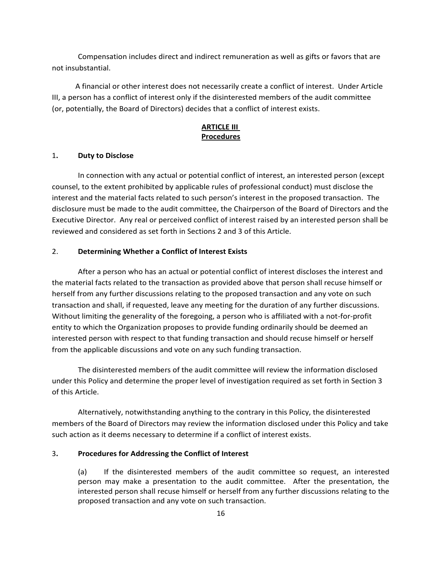Compensation includes direct and indirect remuneration as well as gifts or favors that are not insubstantial.

A financial or other interest does not necessarily create a conflict of interest. Under Article III, a person has a conflict of interest only if the disinterested members of the audit committee (or, potentially, the Board of Directors) decides that a conflict of interest exists.

#### **ARTICLE III Procedures**

#### 1**. Duty to Disclose**

In connection with any actual or potential conflict of interest, an interested person (except counsel, to the extent prohibited by applicable rules of professional conduct) must disclose the interest and the material facts related to such person's interest in the proposed transaction. The disclosure must be made to the audit committee, the Chairperson of the Board of Directors and the Executive Director. Any real or perceived conflict of interest raised by an interested person shall be reviewed and considered as set forth in Sections 2 and 3 of this Article.

#### 2. **Determining Whether a Conflict of Interest Exists**

After a person who has an actual or potential conflict of interest discloses the interest and the material facts related to the transaction as provided above that person shall recuse himself or herself from any further discussions relating to the proposed transaction and any vote on such transaction and shall, if requested, leave any meeting for the duration of any further discussions. Without limiting the generality of the foregoing, a person who is affiliated with a not-for-profit entity to which the Organization proposes to provide funding ordinarily should be deemed an interested person with respect to that funding transaction and should recuse himself or herself from the applicable discussions and vote on any such funding transaction.

The disinterested members of the audit committee will review the information disclosed under this Policy and determine the proper level of investigation required as set forth in Section 3 of this Article.

Alternatively, notwithstanding anything to the contrary in this Policy, the disinterested members of the Board of Directors may review the information disclosed under this Policy and take such action as it deems necessary to determine if a conflict of interest exists.

#### 3**. Procedures for Addressing the Conflict of Interest**

(a) If the disinterested members of the audit committee so request, an interested person may make a presentation to the audit committee. After the presentation, the interested person shall recuse himself or herself from any further discussions relating to the proposed transaction and any vote on such transaction.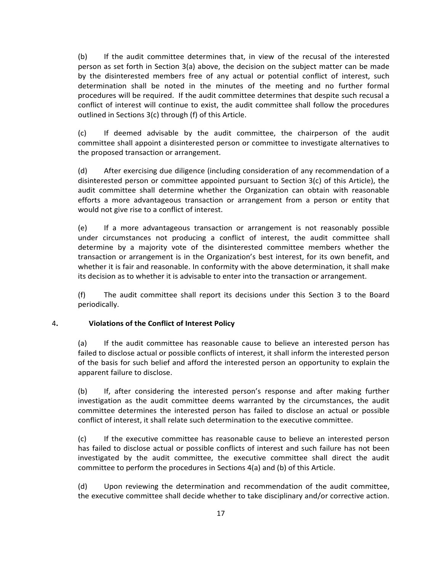(b) If the audit committee determines that, in view of the recusal of the interested person as set forth in Section 3(a) above, the decision on the subject matter can be made by the disinterested members free of any actual or potential conflict of interest, such determination shall be noted in the minutes of the meeting and no further formal procedures will be required. If the audit committee determines that despite such recusal a conflict of interest will continue to exist, the audit committee shall follow the procedures outlined in Sections 3(c) through (f) of this Article.

(c) If deemed advisable by the audit committee, the chairperson of the audit committee shall appoint a disinterested person or committee to investigate alternatives to the proposed transaction or arrangement.

(d) After exercising due diligence (including consideration of any recommendation of a disinterested person or committee appointed pursuant to Section 3(c) of this Article), the audit committee shall determine whether the Organization can obtain with reasonable efforts a more advantageous transaction or arrangement from a person or entity that would not give rise to a conflict of interest.

(e) If a more advantageous transaction or arrangement is not reasonably possible under circumstances not producing a conflict of interest, the audit committee shall determine by a majority vote of the disinterested committee members whether the transaction or arrangement is in the Organization's best interest, for its own benefit, and whether it is fair and reasonable. In conformity with the above determination, it shall make its decision as to whether it is advisable to enter into the transaction or arrangement.

(f) The audit committee shall report its decisions under this Section 3 to the Board periodically.

#### 4**. Violations of the Conflict of Interest Policy**

(a) If the audit committee has reasonable cause to believe an interested person has failed to disclose actual or possible conflicts of interest, it shall inform the interested person of the basis for such belief and afford the interested person an opportunity to explain the apparent failure to disclose.

(b) If, after considering the interested person's response and after making further investigation as the audit committee deems warranted by the circumstances, the audit committee determines the interested person has failed to disclose an actual or possible conflict of interest, it shall relate such determination to the executive committee.

(c) If the executive committee has reasonable cause to believe an interested person has failed to disclose actual or possible conflicts of interest and such failure has not been investigated by the audit committee, the executive committee shall direct the audit committee to perform the procedures in Sections 4(a) and (b) of this Article.

(d) Upon reviewing the determination and recommendation of the audit committee, the executive committee shall decide whether to take disciplinary and/or corrective action.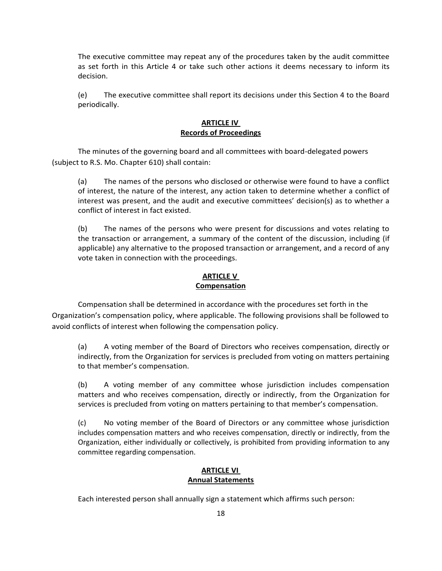The executive committee may repeat any of the procedures taken by the audit committee as set forth in this Article 4 or take such other actions it deems necessary to inform its decision.

(e) The executive committee shall report its decisions under this Section 4 to the Board periodically.

#### **ARTICLE IV Records of Proceedings**

The minutes of the governing board and all committees with board-delegated powers (subject to R.S. Mo. Chapter 610) shall contain:

(a) The names of the persons who disclosed or otherwise were found to have a conflict of interest, the nature of the interest, any action taken to determine whether a conflict of interest was present, and the audit and executive committees' decision(s) as to whether a conflict of interest in fact existed.

(b) The names of the persons who were present for discussions and votes relating to the transaction or arrangement, a summary of the content of the discussion, including (if applicable) any alternative to the proposed transaction or arrangement, and a record of any vote taken in connection with the proceedings.

#### **ARTICLE V Compensation**

Compensation shall be determined in accordance with the procedures set forth in the Organization's compensation policy, where applicable. The following provisions shall be followed to avoid conflicts of interest when following the compensation policy.

(a) A voting member of the Board of Directors who receives compensation, directly or indirectly, from the Organization for services is precluded from voting on matters pertaining to that member's compensation.

(b) A voting member of any committee whose jurisdiction includes compensation matters and who receives compensation, directly or indirectly, from the Organization for services is precluded from voting on matters pertaining to that member's compensation.

(c) No voting member of the Board of Directors or any committee whose jurisdiction includes compensation matters and who receives compensation, directly or indirectly, from the Organization, either individually or collectively, is prohibited from providing information to any committee regarding compensation.

#### **ARTICLE VI Annual Statements**

Each interested person shall annually sign a statement which affirms such person: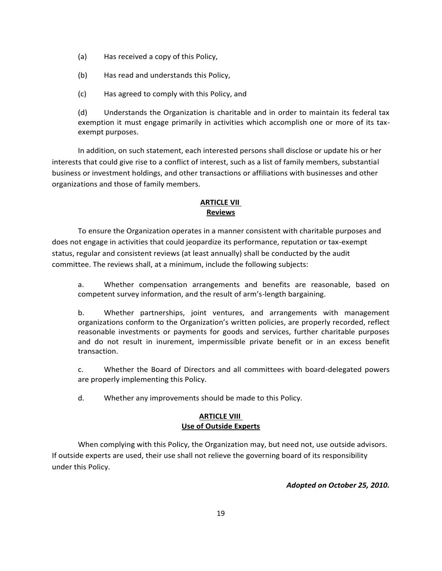- (a) Has received a copy of this Policy,
- (b) Has read and understands this Policy,
- (c) Has agreed to comply with this Policy, and

(d) Understands the Organization is charitable and in order to maintain its federal tax exemption it must engage primarily in activities which accomplish one or more of its taxexempt purposes.

In addition, on such statement, each interested persons shall disclose or update his or her interests that could give rise to a conflict of interest, such as a list of family members, substantial business or investment holdings, and other transactions or affiliations with businesses and other organizations and those of family members.

## **ARTICLE VII Reviews**

To ensure the Organization operates in a manner consistent with charitable purposes and does not engage in activities that could jeopardize its performance, reputation or tax-exempt status, regular and consistent reviews (at least annually) shall be conducted by the audit committee. The reviews shall, at a minimum, include the following subjects:

a. Whether compensation arrangements and benefits are reasonable, based on competent survey information, and the result of arm's-length bargaining.

b. Whether partnerships, joint ventures, and arrangements with management organizations conform to the Organization's written policies, are properly recorded, reflect reasonable investments or payments for goods and services, further charitable purposes and do not result in inurement, impermissible private benefit or in an excess benefit transaction.

c. Whether the Board of Directors and all committees with board-delegated powers are properly implementing this Policy.

d. Whether any improvements should be made to this Policy.

## **ARTICLE VIII Use of Outside Experts**

When complying with this Policy, the Organization may, but need not, use outside advisors. If outside experts are used, their use shall not relieve the governing board of its responsibility under this Policy.

*Adopted on October 25, 2010.*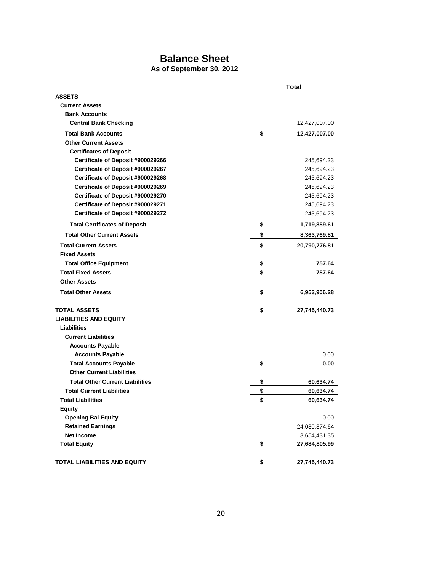## **Balance Sheet**

## **As of September 30, 2012**

|                                               | <b>Total</b> |               |
|-----------------------------------------------|--------------|---------------|
| <b>ASSETS</b>                                 |              |               |
| <b>Current Assets</b>                         |              |               |
| <b>Bank Accounts</b>                          |              |               |
| <b>Central Bank Checking</b>                  |              | 12,427,007.00 |
| <b>Total Bank Accounts</b>                    | \$           | 12,427,007.00 |
| <b>Other Current Assets</b>                   |              |               |
| <b>Certificates of Deposit</b>                |              |               |
| Certificate of Deposit #900029266             |              | 245,694.23    |
| Certificate of Deposit #900029267             |              | 245,694.23    |
| Certificate of Deposit #900029268             |              | 245,694.23    |
| Certificate of Deposit #900029269             |              | 245,694.23    |
| Certificate of Deposit #900029270             |              | 245,694.23    |
| Certificate of Deposit #900029271             |              | 245,694.23    |
| Certificate of Deposit #900029272             |              | 245,694.23    |
| <b>Total Certificates of Deposit</b>          | \$           | 1,719,859.61  |
| <b>Total Other Current Assets</b>             | \$           | 8,363,769.81  |
| <b>Total Current Assets</b>                   | \$           | 20,790,776.81 |
| <b>Fixed Assets</b>                           |              |               |
| <b>Total Office Equipment</b>                 | \$           | 757.64        |
| <b>Total Fixed Assets</b>                     | \$           | 757.64        |
| <b>Other Assets</b>                           |              |               |
| <b>Total Other Assets</b>                     | \$           | 6,953,906.28  |
| <b>TOTAL ASSETS</b>                           |              |               |
| <b>LIABILITIES AND EQUITY</b>                 | \$           | 27,745,440.73 |
| <b>Liabilities</b>                            |              |               |
| <b>Current Liabilities</b>                    |              |               |
| <b>Accounts Payable</b>                       |              |               |
| <b>Accounts Payable</b>                       |              | 0.00          |
| <b>Total Accounts Payable</b>                 | \$           |               |
| <b>Other Current Liabilities</b>              |              | 0.00          |
| <b>Total Other Current Liabilities</b>        | \$           | 60,634.74     |
| <b>Total Current Liabilities</b>              | \$           |               |
| <b>Total Liabilities</b>                      | \$           | 60,634.74     |
|                                               |              | 60,634.74     |
| <b>Equity</b>                                 |              |               |
| <b>Opening Bal Equity</b>                     |              | 0.00          |
| <b>Retained Earnings</b><br><b>Net Income</b> |              | 24,030,374.64 |
|                                               |              | 3,654,431.35  |
| <b>Total Equity</b>                           | \$           | 27,684,805.99 |
| TOTAL LIABILITIES AND EQUITY                  | \$           | 27,745,440.73 |